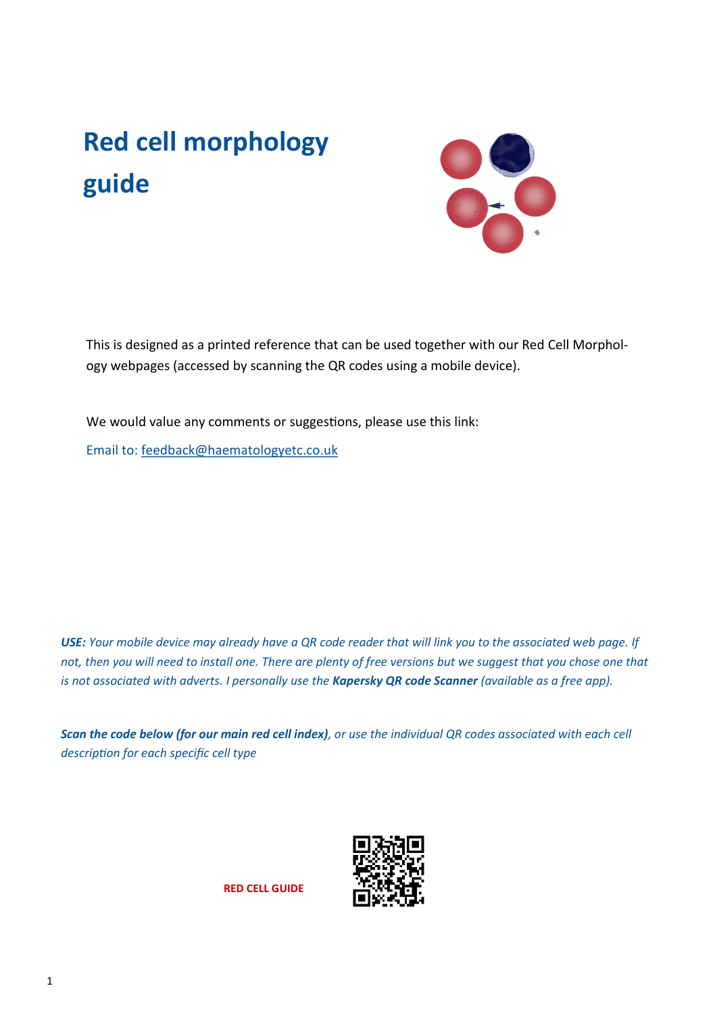# **Red cell morphology guide**



This is designed as a printed reference that can be used together with our Red Cell Morphology webpages (accessed by scanning the QR codes using a mobile device).

We would value any comments or suggestions, please use this link: Email to: [feedback@haematologyetc.co.uk](https://email.ionos.co.uk/appsuite/#) 

*USE: Your mobile device may already have a QR code reader that will link you to the associated web page. If*  not, then you will need to install one. There are plenty of free versions but we suggest that you chose one that *is not associated with adverts. I personally use the Kapersky QR code Scanner (available as a free app).*

*Scan the code below (for our main red cell index), or use the individual QR codes associated with each cell description for each specific cell type*



**RED CELL GUIDE**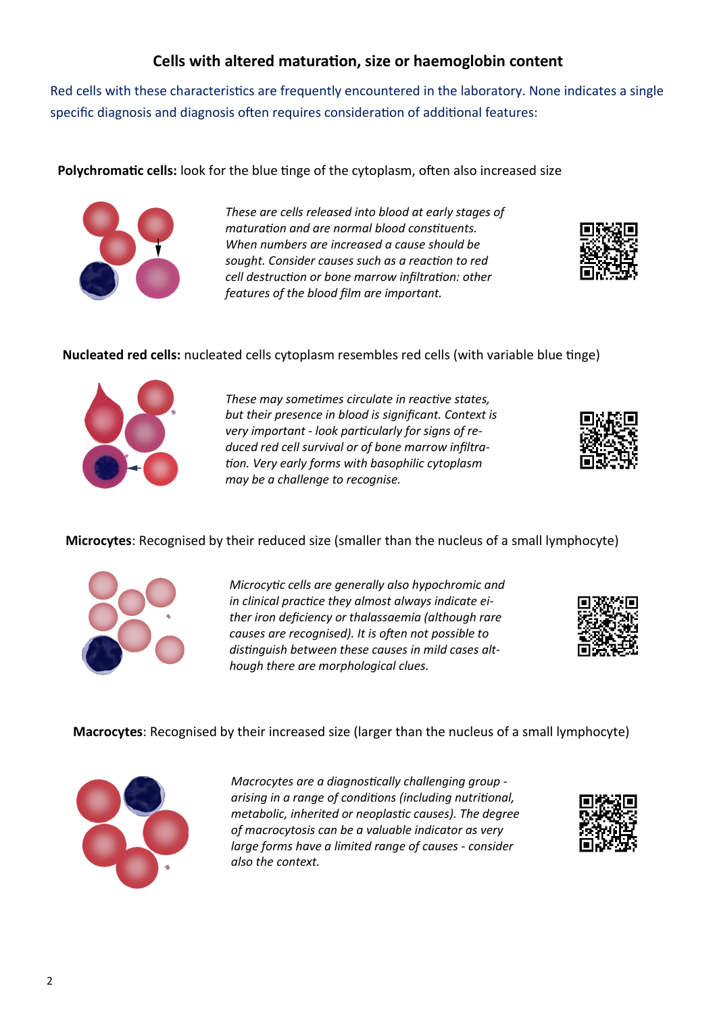# **Cells with altered maturation, size or haemoglobin content**

Red cells with these characteristics are frequently encountered in the laboratory. None indicates a single specific diagnosis and diagnosis often requires consideration of additional features:

**Polychromatic cells:** look for the blue tinge of the cytoplasm, often also increased size



*These are cells released into blood at early stages of maturation and are normal blood constituents. When numbers are increased a cause should be sought. Consider causes such as a reaction to red cell destruction or bone marrow infiltration: other features of the blood film are important.* 



## **Nucleated red cells:** nucleated cells cytoplasm resembles red cells (with variable blue tinge)



*These may sometimes circulate in reactive states, but their presence in blood is significant. Context is very important - look particularly for signs of reduced red cell survival or of bone marrow infiltration. Very early forms with basophilic cytoplasm may be a challenge to recognise.*



#### **Microcytes**: Recognised by their reduced size (smaller than the nucleus of a small lymphocyte)



*Microcytic cells are generally also hypochromic and in clinical practice they almost always indicate either iron deficiency or thalassaemia (although rare causes are recognised). It is often not possible to distinguish between these causes in mild cases although there are morphological clues.*



**Macrocytes**: Recognised by their increased size (larger than the nucleus of a small lymphocyte)



*Macrocytes are a diagnostically challenging group arising in a range of conditions (including nutritional, metabolic, inherited or neoplastic causes). The degree of macrocytosis can be a valuable indicator as very large forms have a limited range of causes - consider also the context.*

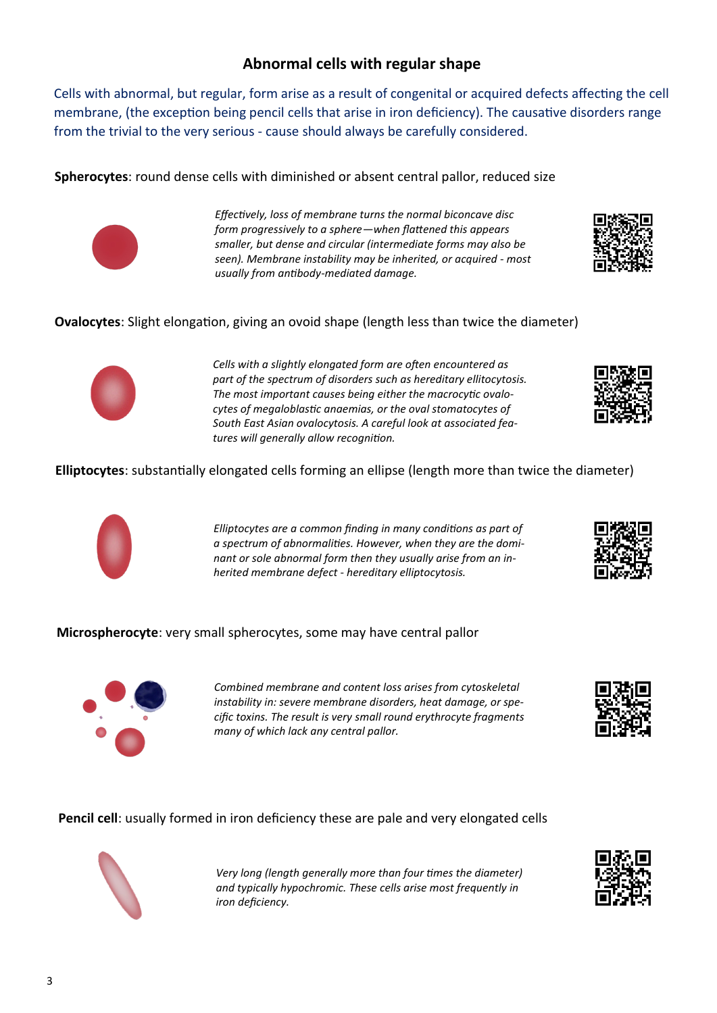## **Abnormal cells with regular shape**

Cells with abnormal, but regular, form arise as a result of congenital or acquired defects affecting the cell membrane, (the exception being pencil cells that arise in iron deficiency). The causative disorders range from the trivial to the very serious - cause should always be carefully considered.

**Spherocytes**: round dense cells with diminished or absent central pallor, reduced size



*Effectively, loss of membrane turns the normal biconcave disc form progressively to a sphere—when flattened this appears smaller, but dense and circular (intermediate forms may also be seen). Membrane instability may be inherited, or acquired - most usually from antibody-mediated damage.*

**Ovalocytes**: Slight elongation, giving an ovoid shape (length less than twice the diameter)



*Cells with a slightly elongated form are often encountered as part of the spectrum of disorders such as hereditary ellitocytosis. The most important causes being either the macrocytic ovalocytes of megaloblastic anaemias, or the oval stomatocytes of South East Asian ovalocytosis. A careful look at associated features will generally allow recognition.*

**Elliptocytes**: substantially elongated cells forming an ellipse (length more than twice the diameter)



*Elliptocytes are a common finding in many conditions as part of a spectrum of abnormalities. However, when they are the dominant or sole abnormal form then they usually arise from an inherited membrane defect - hereditary elliptocytosis.*

**Microspherocyte**: very small spherocytes, some may have central pallor



*Combined membrane and content loss arises from cytoskeletal instability in: severe membrane disorders, heat damage, or specific toxins. The result is very small round erythrocyte fragments many of which lack any central pallor.*

**Pencil cell**: usually formed in iron deficiency these are pale and very elongated cells



*Very long (length generally more than four times the diameter) and typically hypochromic. These cells arise most frequently in iron deficiency.*









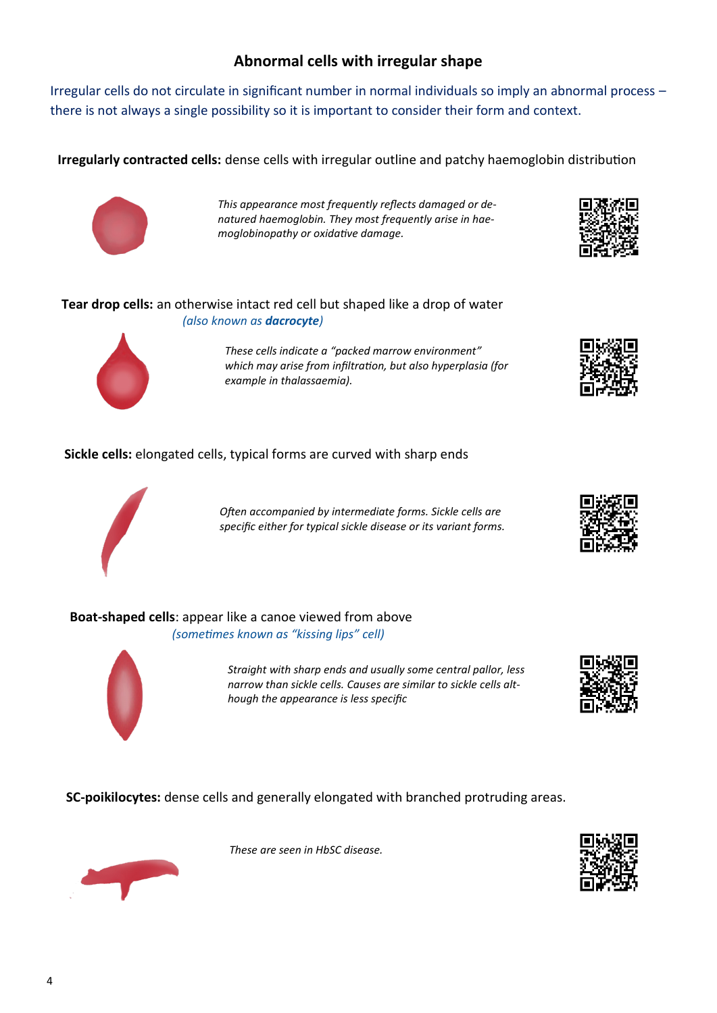# **Abnormal cells with irregular shape**

Irregular cells do not circulate in significant number in normal individuals so imply an abnormal process – there is not always a single possibility so it is important to consider their form and context.

**Irregularly contracted cells:** dense cells with irregular outline and patchy haemoglobin distribution



*This appearance most frequently reflects damaged or denatured haemoglobin. They most frequently arise in haemoglobinopathy or oxidative damage.*



## **Tear drop cells:** an otherwise intact red cell but shaped like a drop of water *(also known as dacrocyte)*



*These cells indicate a "packed marrow environment" which may arise from infiltration, but also hyperplasia (for example in thalassaemia).*

**Sickle cells:** elongated cells, typical forms are curved with sharp ends



*Often accompanied by intermediate forms. Sickle cells are specific either for typical sickle disease or its variant forms.*

**Boat-shaped cells**: appear like a canoe viewed from above *(sometimes known as "kissing lips" cell)*



*Straight with sharp ends and usually some central pallor, less narrow than sickle cells. Causes are similar to sickle cells although the appearance is less specific*



**SC-poikilocytes:** dense cells and generally elongated with branched protruding areas.



*These are seen in HbSC disease.*

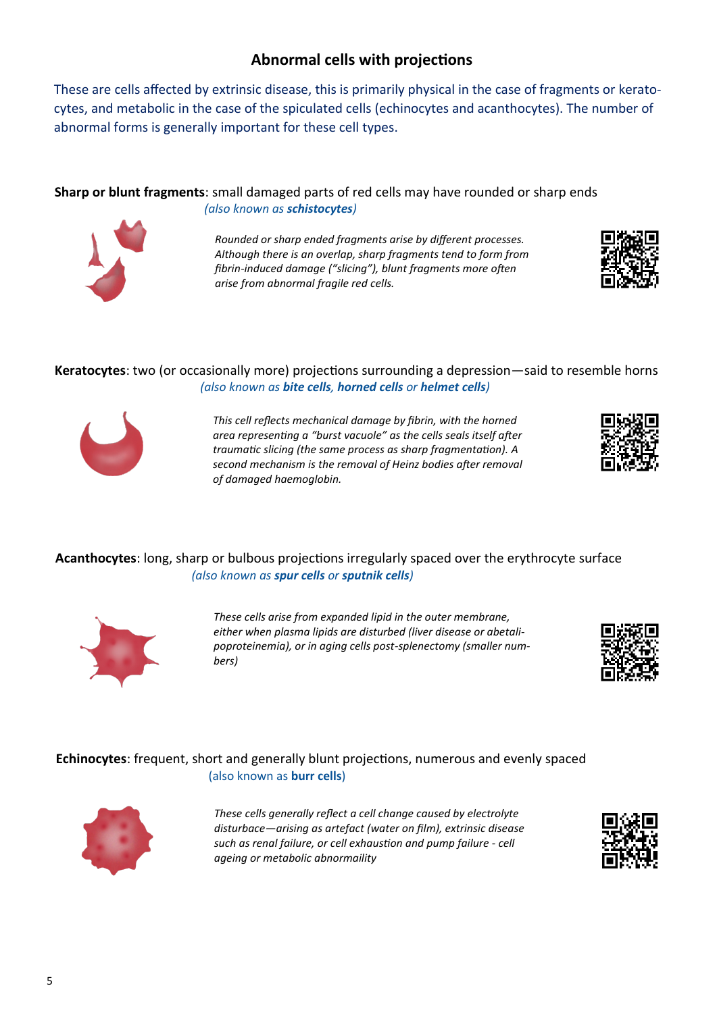# **Abnormal cells with projections**

These are cells affected by extrinsic disease, this is primarily physical in the case of fragments or keratocytes, and metabolic in the case of the spiculated cells (echinocytes and acanthocytes). The number of abnormal forms is generally important for these cell types.

**Sharp or blunt fragments**: small damaged parts of red cells may have rounded or sharp ends *(also known as schistocytes)* 



*Rounded or sharp ended fragments arise by different processes. Although there is an overlap, sharp fragments tend to form from fibrin-induced damage ("slicing"), blunt fragments more often arise from abnormal fragile red cells.* 



## **Keratocytes**: two (or occasionally more) projections surrounding a depression—said to resemble horns *(also known as bite cells, horned cells or helmet cells)*



*This cell reflects mechanical damage by fibrin, with the horned area representing a "burst vacuole" as the cells seals itself after traumatic slicing (the same process as sharp fragmentation). A second mechanism is the removal of Heinz bodies after removal of damaged haemoglobin.*



## **Acanthocytes**: long, sharp or bulbous projections irregularly spaced over the erythrocyte surface *(also known as spur cells or sputnik cells)*



*These cells arise from expanded lipid in the outer membrane, either when plasma lipids are disturbed (liver disease or abetalipoproteinemia), or in aging cells post-splenectomy (smaller numbers)*



## **Echinocytes**: frequent, short and generally blunt projections, numerous and evenly spaced (also known as **burr cells**)



*These cells generally reflect a cell change caused by electrolyte disturbace—arising as artefact (water on film), extrinsic disease such as renal failure, or cell exhaustion and pump failure - cell ageing or metabolic abnormaility*

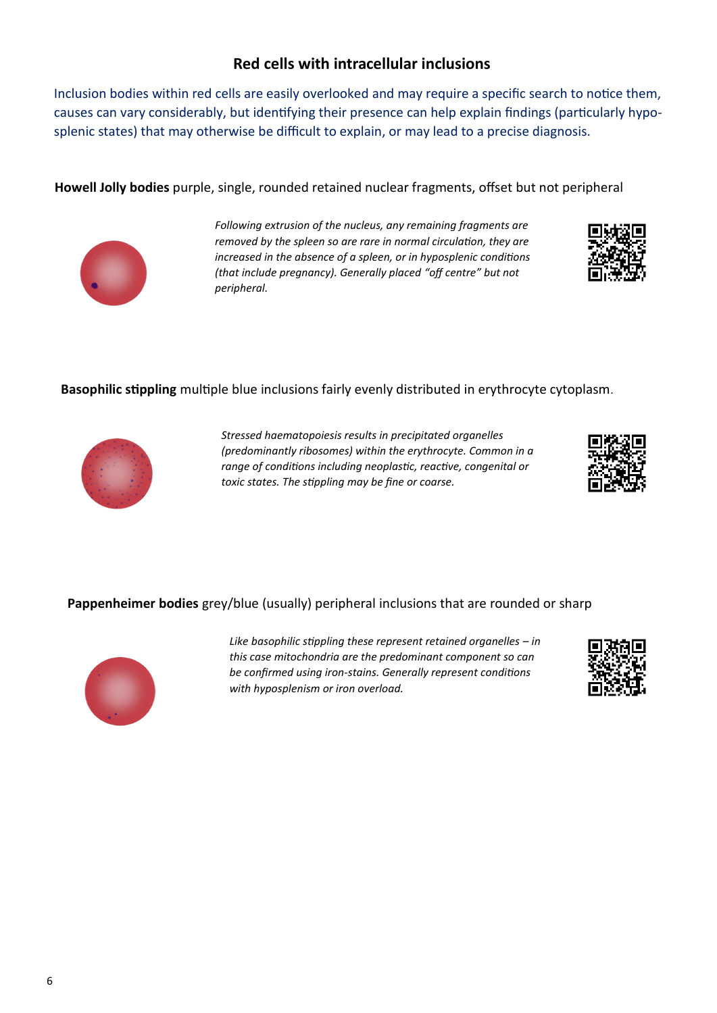## **Red cells with intracellular inclusions**

Inclusion bodies within red cells are easily overlooked and may require a specific search to notice them, causes can vary considerably, but identifying their presence can help explain findings (particularly hyposplenic states) that may otherwise be difficult to explain, or may lead to a precise diagnosis.

**Howell Jolly bodies** purple, single, rounded retained nuclear fragments, offset but not peripheral



*Following extrusion of the nucleus, any remaining fragments are removed by the spleen so are rare in normal circulation, they are increased in the absence of a spleen, or in hyposplenic conditions (that include pregnancy). Generally placed "off centre" but not peripheral.*



## **Basophilic stippling** multiple blue inclusions fairly evenly distributed in erythrocyte cytoplasm.



*Stressed haematopoiesis results in precipitated organelles (predominantly ribosomes) within the erythrocyte. Common in a range of conditions including neoplastic, reactive, congenital or toxic states. The stippling may be fine or coarse.*



## **Pappenheimer bodies** grey/blue (usually) peripheral inclusions that are rounded or sharp



*Like basophilic stippling these represent retained organelles – in this case mitochondria are the predominant component so can be confirmed using iron-stains. Generally represent conditions with hyposplenism or iron overload.*